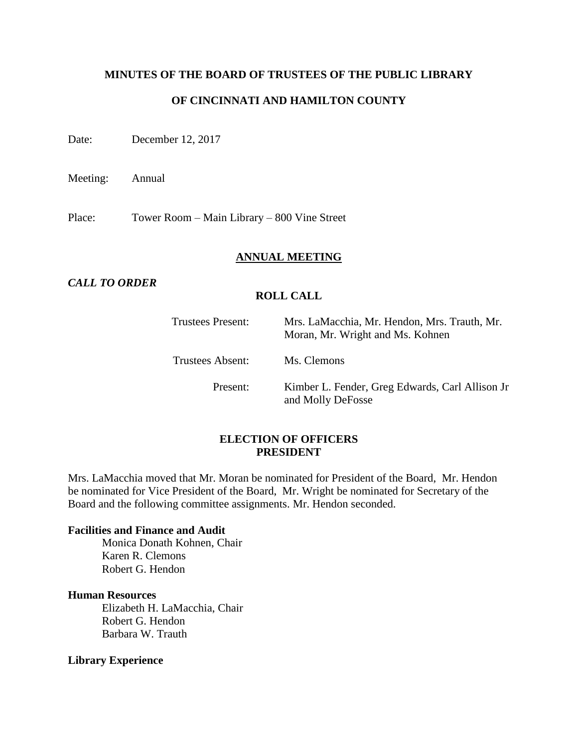### **MINUTES OF THE BOARD OF TRUSTEES OF THE PUBLIC LIBRARY**

### **OF CINCINNATI AND HAMILTON COUNTY**

Date: December 12, 2017

Meeting: Annual

Place: Tower Room – Main Library – 800 Vine Street

#### **ANNUAL MEETING**

### *CALL TO ORDER*

### **ROLL CALL**

| <b>Trustees Present:</b> | Mrs. LaMacchia, Mr. Hendon, Mrs. Trauth, Mr.<br>Moran, Mr. Wright and Ms. Kohnen |
|--------------------------|----------------------------------------------------------------------------------|
| Trustees Absent:         | Ms. Clemons                                                                      |
| Present:                 | Kimber L. Fender, Greg Edwards, Carl Allison Jr<br>and Molly DeFosse             |

#### **ELECTION OF OFFICERS PRESIDENT**

Mrs. LaMacchia moved that Mr. Moran be nominated for President of the Board, Mr. Hendon be nominated for Vice President of the Board, Mr. Wright be nominated for Secretary of the Board and the following committee assignments. Mr. Hendon seconded.

#### **Facilities and Finance and Audit**

Monica Donath Kohnen, Chair Karen R. Clemons Robert G. Hendon

#### **Human Resources**

Elizabeth H. LaMacchia, Chair Robert G. Hendon Barbara W. Trauth

#### **Library Experience**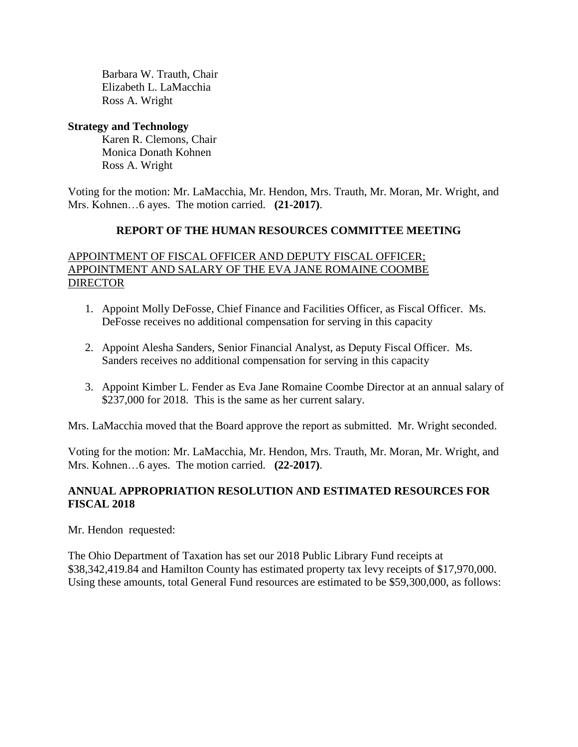Barbara W. Trauth, Chair Elizabeth L. LaMacchia Ross A. Wright

### **Strategy and Technology**

Karen R. Clemons, Chair Monica Donath Kohnen Ross A. Wright

Voting for the motion: Mr. LaMacchia, Mr. Hendon, Mrs. Trauth, Mr. Moran, Mr. Wright, and Mrs. Kohnen…6 ayes. The motion carried. **(21-2017)**.

### **REPORT OF THE HUMAN RESOURCES COMMITTEE MEETING**

### APPOINTMENT OF FISCAL OFFICER AND DEPUTY FISCAL OFFICER; APPOINTMENT AND SALARY OF THE EVA JANE ROMAINE COOMBE DIRECTOR

- 1. Appoint Molly DeFosse, Chief Finance and Facilities Officer, as Fiscal Officer. Ms. DeFosse receives no additional compensation for serving in this capacity
- 2. Appoint Alesha Sanders, Senior Financial Analyst, as Deputy Fiscal Officer. Ms. Sanders receives no additional compensation for serving in this capacity
- 3. Appoint Kimber L. Fender as Eva Jane Romaine Coombe Director at an annual salary of \$237,000 for 2018. This is the same as her current salary.

Mrs. LaMacchia moved that the Board approve the report as submitted. Mr. Wright seconded.

Voting for the motion: Mr. LaMacchia, Mr. Hendon, Mrs. Trauth, Mr. Moran, Mr. Wright, and Mrs. Kohnen…6 ayes. The motion carried. **(22-2017)**.

## **ANNUAL APPROPRIATION RESOLUTION AND ESTIMATED RESOURCES FOR FISCAL 2018**

Mr. Hendon requested:

The Ohio Department of Taxation has set our 2018 Public Library Fund receipts at \$38,342,419.84 and Hamilton County has estimated property tax levy receipts of \$17,970,000. Using these amounts, total General Fund resources are estimated to be \$59,300,000, as follows: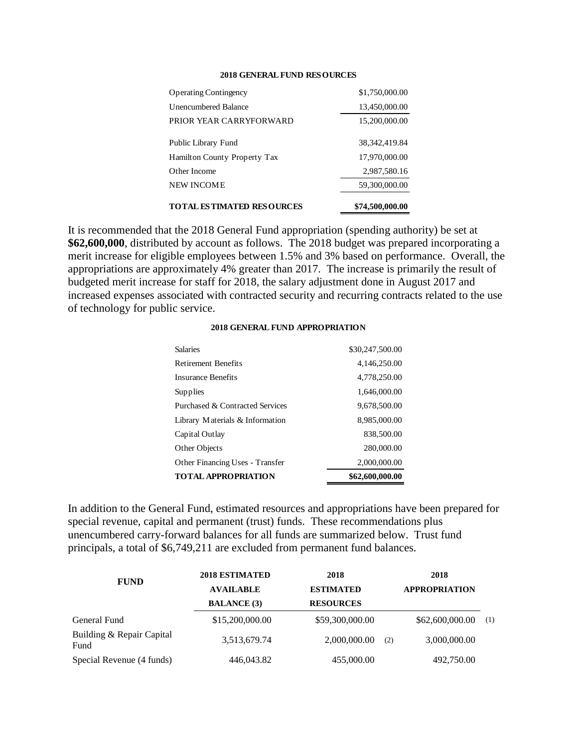#### **2018 GENERAL FUND RESOURCES**

| <b>Operating Contingency</b>     | \$1,750,000.00  |
|----------------------------------|-----------------|
| Unencumbered Balance             | 13,450,000.00   |
| PRIOR YEAR CARRYFORWARD          | 15,200,000.00   |
| Public Library Fund              | 38, 342, 419.84 |
| Hamilton County Property Tax     | 17,970,000.00   |
| Other Income                     | 2,987,580.16    |
| <b>NEW INCOME</b>                | 59,300,000.00   |
| <b>TOTAL ESTIMATED RESOURCES</b> | \$74,500,000.00 |

It is recommended that the 2018 General Fund appropriation (spending authority) be set at **\$62,600,000**, distributed by account as follows. The 2018 budget was prepared incorporating a merit increase for eligible employees between 1.5% and 3% based on performance. Overall, the appropriations are approximately 4% greater than 2017. The increase is primarily the result of budgeted merit increase for staff for 2018, the salary adjustment done in August 2017 and increased expenses associated with contracted security and recurring contracts related to the use of technology for public service.

#### **2018 GENERAL FUND APPROPRIATION**

| Capital Outlay<br>Other Objects | 838,500.00<br>280,000.00 |
|---------------------------------|--------------------------|
|                                 |                          |
| Library Materials & Information | 8,985,000.00             |
| Purchased & Contracted Services | 9,678,500.00             |
| Supplies                        | 1,646,000.00             |
| Insurance Benefits              | 4,778,250.00             |
| <b>Retirement Benefits</b>      | 4,146,250.00             |
| <b>Salaries</b>                 | \$30,247,500.00          |

In addition to the General Fund, estimated resources and appropriations have been prepared for special revenue, capital and permanent (trust) funds. These recommendations plus unencumbered carry-forward balances for all funds are summarized below. Trust fund principals, a total of \$6,749,211 are excluded from permanent fund balances.

| <b>FUND</b>                       | <b>2018 ESTIMATED</b> | 2018             | 2018                 |     |
|-----------------------------------|-----------------------|------------------|----------------------|-----|
|                                   | <b>AVAILABLE</b>      | <b>ESTIMATED</b> | <b>APPROPRIATION</b> |     |
|                                   | <b>BALANCE</b> (3)    | <b>RESOURCES</b> |                      |     |
| General Fund                      | \$15,200,000.00       | \$59,300,000.00  | \$62,600,000.00      | (1) |
| Building & Repair Capital<br>Fund | 3,513,679.74          | 2,000,000.00     | 3,000,000.00<br>(2)  |     |
| Special Revenue (4 funds)         | 446,043.82            | 455,000.00       | 492,750.00           |     |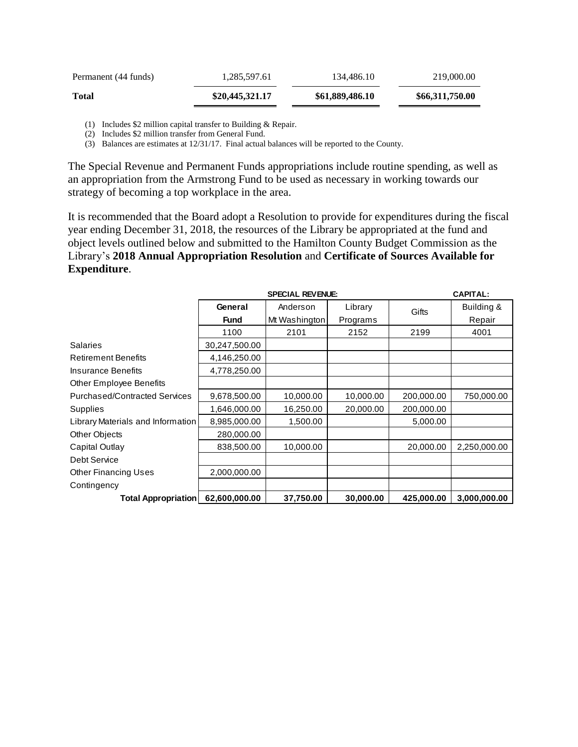| <b>Total</b>         | \$20,445,321.17 | \$61,889,486.10 | \$66,311,750.00 |
|----------------------|-----------------|-----------------|-----------------|
| Permanent (44 funds) | 1.285.597.61    | 134,486.10      | 219,000.00      |

(1) Includes \$2 million capital transfer to Building & Repair.

(2) Includes \$2 million transfer from General Fund.

(3) Balances are estimates at 12/31/17. Final actual balances will be reported to the County.

The Special Revenue and Permanent Funds appropriations include routine spending, as well as an appropriation from the Armstrong Fund to be used as necessary in working towards our strategy of becoming a top workplace in the area.

It is recommended that the Board adopt a Resolution to provide for expenditures during the fiscal year ending December 31, 2018, the resources of the Library be appropriated at the fund and object levels outlined below and submitted to the Hamilton County Budget Commission as the Library's **2018 Annual Appropriation Resolution** and **Certificate of Sources Available for Expenditure**.

|                                      |               |               | <b>CAPITAL:</b> |            |              |
|--------------------------------------|---------------|---------------|-----------------|------------|--------------|
|                                      | General       | Anderson      | Gifts           | Building & |              |
|                                      | <b>Fund</b>   | Mt Washington | Programs        |            | Repair       |
|                                      | 1100          | 2101          | 2152            | 2199       | 4001         |
| <b>Salaries</b>                      | 30,247,500.00 |               |                 |            |              |
| <b>Retirement Benefits</b>           | 4,146,250.00  |               |                 |            |              |
| <b>Insurance Benefits</b>            | 4,778,250.00  |               |                 |            |              |
| Other Employee Benefits              |               |               |                 |            |              |
| <b>Purchased/Contracted Services</b> | 9,678,500.00  | 10,000.00     | 10,000.00       | 200,000.00 | 750,000.00   |
| Supplies                             | 1,646,000.00  | 16,250.00     | 20,000.00       | 200,000.00 |              |
| Library Materials and Information    | 8,985,000.00  | 1,500.00      |                 | 5,000.00   |              |
| Other Objects                        | 280,000.00    |               |                 |            |              |
| Capital Outlay                       | 838,500.00    | 10,000.00     |                 | 20,000.00  | 2,250,000.00 |
| Debt Service                         |               |               |                 |            |              |
| <b>Other Financing Uses</b>          | 2,000,000.00  |               |                 |            |              |
| Contingency                          |               |               |                 |            |              |
| <b>Total Appropriation</b>           | 62,600,000.00 | 37,750.00     | 30,000.00       | 425,000.00 | 3,000,000.00 |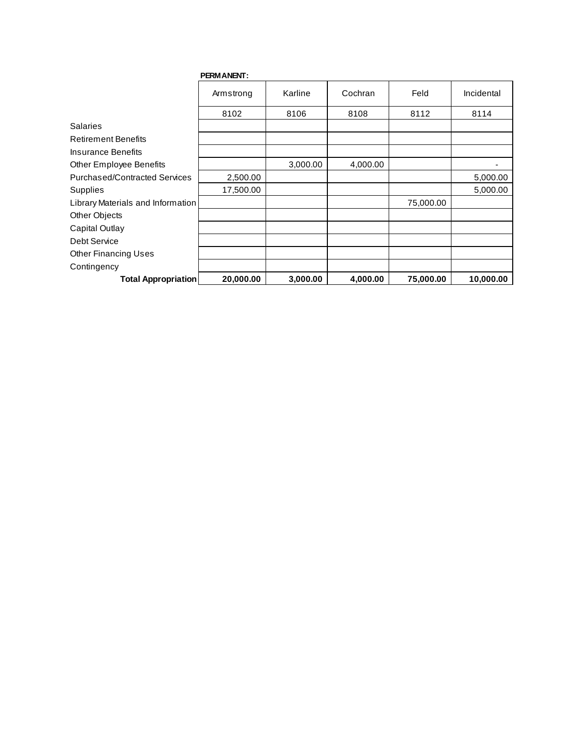|                                      | <b>PERMANENT:</b> |          |          |           |            |
|--------------------------------------|-------------------|----------|----------|-----------|------------|
|                                      | Armstrong         | Karline  | Cochran  | Feld      | Incidental |
|                                      | 8102              | 8106     | 8108     | 8112      | 8114       |
| <b>Salaries</b>                      |                   |          |          |           |            |
| <b>Retirement Benefits</b>           |                   |          |          |           |            |
| Insurance Benefits                   |                   |          |          |           |            |
| <b>Other Employee Benefits</b>       |                   | 3,000.00 | 4,000.00 |           |            |
| <b>Purchased/Contracted Services</b> | 2,500.00          |          |          |           | 5,000.00   |
| Supplies                             | 17,500.00         |          |          |           | 5,000.00   |
| Library Materials and Information    |                   |          |          | 75,000.00 |            |
| Other Objects                        |                   |          |          |           |            |
| Capital Outlay                       |                   |          |          |           |            |
| Debt Service                         |                   |          |          |           |            |
| <b>Other Financing Uses</b>          |                   |          |          |           |            |
| Contingency                          |                   |          |          |           |            |
| <b>Total Appropriation</b>           | 20,000.00         | 3,000.00 | 4,000.00 | 75,000.00 | 10,000.00  |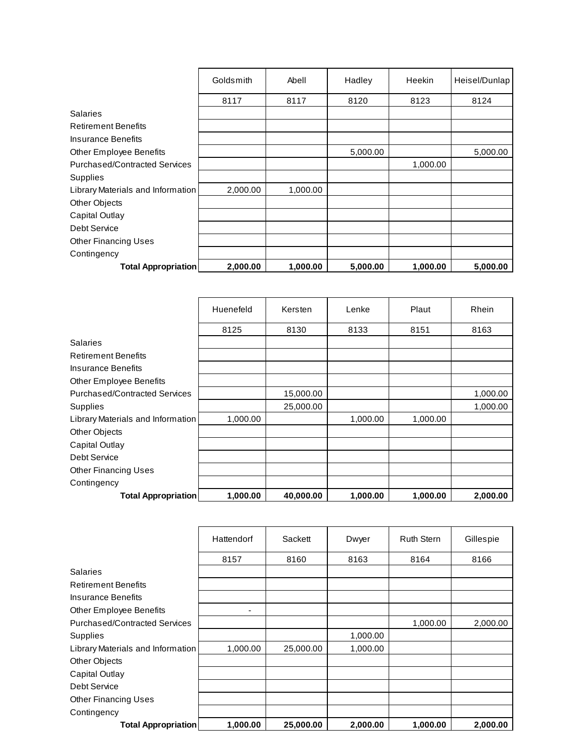|                                   | Goldsmith | Abell    | Hadley   | Heekin   | Heisel/Dunlap |
|-----------------------------------|-----------|----------|----------|----------|---------------|
|                                   | 8117      | 8117     | 8120     | 8123     | 8124          |
| <b>Salaries</b>                   |           |          |          |          |               |
| <b>Retirement Benefits</b>        |           |          |          |          |               |
| Insurance Benefits                |           |          |          |          |               |
| <b>Other Employee Benefits</b>    |           |          | 5,000.00 |          | 5,000.00      |
| Purchased/Contracted Services     |           |          |          | 1,000.00 |               |
| Supplies                          |           |          |          |          |               |
| Library Materials and Information | 2,000.00  | 1,000.00 |          |          |               |
| Other Objects                     |           |          |          |          |               |
| Capital Outlay                    |           |          |          |          |               |
| Debt Service                      |           |          |          |          |               |
| <b>Other Financing Uses</b>       |           |          |          |          |               |
| Contingency                       |           |          |          |          |               |
| <b>Total Appropriation</b>        | 2,000.00  | 1,000.00 | 5,000.00 | 1,000.00 | 5,000.00      |

|                                      | Huenefeld | Kersten   | Lenke    | Plaut    | Rhein    |
|--------------------------------------|-----------|-----------|----------|----------|----------|
|                                      | 8125      | 8130      | 8133     | 8151     | 8163     |
| <b>Salaries</b>                      |           |           |          |          |          |
| <b>Retirement Benefits</b>           |           |           |          |          |          |
| Insurance Benefits                   |           |           |          |          |          |
| Other Employee Benefits              |           |           |          |          |          |
| <b>Purchased/Contracted Services</b> |           | 15,000.00 |          |          | 1,000.00 |
| Supplies                             |           | 25,000.00 |          |          | 1,000.00 |
| Library Materials and Information    | 1,000.00  |           | 1,000.00 | 1,000.00 |          |
| Other Objects                        |           |           |          |          |          |
| Capital Outlay                       |           |           |          |          |          |
| Debt Service                         |           |           |          |          |          |
| <b>Other Financing Uses</b>          |           |           |          |          |          |
| Contingency                          |           |           |          |          |          |
| <b>Total Appropriation</b>           | 1,000.00  | 40,000.00 | 1,000.00 | 1,000.00 | 2,000.00 |

|                                      | Hattendorf | Sackett   | Dwyer    | <b>Ruth Stern</b> | Gillespie |
|--------------------------------------|------------|-----------|----------|-------------------|-----------|
|                                      | 8157       | 8160      | 8163     | 8164              | 8166      |
| <b>Salaries</b>                      |            |           |          |                   |           |
| <b>Retirement Benefits</b>           |            |           |          |                   |           |
| Insurance Benefits                   |            |           |          |                   |           |
| Other Employee Benefits              | -          |           |          |                   |           |
| <b>Purchased/Contracted Services</b> |            |           |          | 1,000.00          | 2,000.00  |
| Supplies                             |            |           | 1,000.00 |                   |           |
| Library Materials and Information    | 1,000.00   | 25,000.00 | 1,000.00 |                   |           |
| Other Objects                        |            |           |          |                   |           |
| Capital Outlay                       |            |           |          |                   |           |
| Debt Service                         |            |           |          |                   |           |
| <b>Other Financing Uses</b>          |            |           |          |                   |           |
| Contingency                          |            |           |          |                   |           |
| <b>Total Appropriation</b>           | 1,000.00   | 25,000.00 | 2,000.00 | 1,000.00          | 2,000.00  |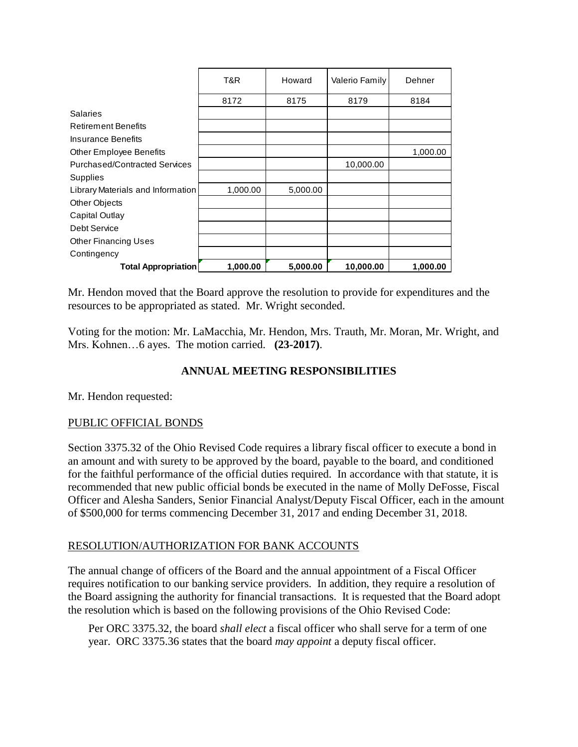|                                      | T&R.     | Howard   | Valerio Family | Dehner   |
|--------------------------------------|----------|----------|----------------|----------|
|                                      | 8172     | 8175     | 8179           | 8184     |
| <b>Salaries</b>                      |          |          |                |          |
| <b>Retirement Benefits</b>           |          |          |                |          |
| Insurance Benefits                   |          |          |                |          |
| <b>Other Employee Benefits</b>       |          |          |                | 1,000.00 |
| <b>Purchased/Contracted Services</b> |          |          | 10,000.00      |          |
| <b>Supplies</b>                      |          |          |                |          |
| Library Materials and Information    | 1,000.00 | 5,000.00 |                |          |
| Other Objects                        |          |          |                |          |
| Capital Outlay                       |          |          |                |          |
| Debt Service                         |          |          |                |          |
| <b>Other Financing Uses</b>          |          |          |                |          |
| Contingency                          |          |          |                |          |
| <b>Total Appropriation</b>           | 1,000.00 | 5,000.00 | 10,000.00      | 1,000.00 |

Mr. Hendon moved that the Board approve the resolution to provide for expenditures and the resources to be appropriated as stated. Mr. Wright seconded.

Voting for the motion: Mr. LaMacchia, Mr. Hendon, Mrs. Trauth, Mr. Moran, Mr. Wright, and Mrs. Kohnen…6 ayes. The motion carried. **(23-2017)**.

## **ANNUAL MEETING RESPONSIBILITIES**

Mr. Hendon requested:

## PUBLIC OFFICIAL BONDS

Section 3375.32 of the Ohio Revised Code requires a library fiscal officer to execute a bond in an amount and with surety to be approved by the board, payable to the board, and conditioned for the faithful performance of the official duties required. In accordance with that statute, it is recommended that new public official bonds be executed in the name of Molly DeFosse, Fiscal Officer and Alesha Sanders, Senior Financial Analyst/Deputy Fiscal Officer, each in the amount of \$500,000 for terms commencing December 31, 2017 and ending December 31, 2018.

### RESOLUTION/AUTHORIZATION FOR BANK ACCOUNTS

The annual change of officers of the Board and the annual appointment of a Fiscal Officer requires notification to our banking service providers. In addition, they require a resolution of the Board assigning the authority for financial transactions. It is requested that the Board adopt the resolution which is based on the following provisions of the Ohio Revised Code:

Per ORC 3375.32, the board *shall elect* a fiscal officer who shall serve for a term of one year. ORC 3375.36 states that the board *may appoint* a deputy fiscal officer.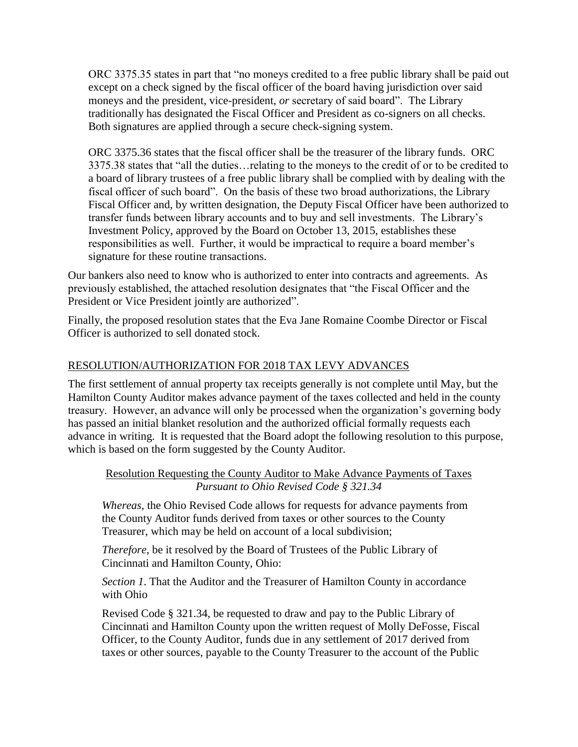ORC 3375.35 states in part that "no moneys credited to a free public library shall be paid out except on a check signed by the fiscal officer of the board having jurisdiction over said moneys and the president, vice-president, *or* secretary of said board". The Library traditionally has designated the Fiscal Officer and President as co-signers on all checks. Both signatures are applied through a secure check-signing system.

ORC 3375.36 states that the fiscal officer shall be the treasurer of the library funds. ORC 3375.38 states that "all the duties…relating to the moneys to the credit of or to be credited to a board of library trustees of a free public library shall be complied with by dealing with the fiscal officer of such board". On the basis of these two broad authorizations, the Library Fiscal Officer and, by written designation, the Deputy Fiscal Officer have been authorized to transfer funds between library accounts and to buy and sell investments. The Library's Investment Policy, approved by the Board on October 13, 2015, establishes these responsibilities as well. Further, it would be impractical to require a board member's signature for these routine transactions.

Our bankers also need to know who is authorized to enter into contracts and agreements. As previously established, the attached resolution designates that "the Fiscal Officer and the President or Vice President jointly are authorized".

Finally, the proposed resolution states that the Eva Jane Romaine Coombe Director or Fiscal Officer is authorized to sell donated stock.

## RESOLUTION/AUTHORIZATION FOR 2018 TAX LEVY ADVANCES

The first settlement of annual property tax receipts generally is not complete until May, but the Hamilton County Auditor makes advance payment of the taxes collected and held in the county treasury. However, an advance will only be processed when the organization's governing body has passed an initial blanket resolution and the authorized official formally requests each advance in writing. It is requested that the Board adopt the following resolution to this purpose, which is based on the form suggested by the County Auditor.

### Resolution Requesting the County Auditor to Make Advance Payments of Taxes *Pursuant to Ohio Revised Code § 321.34*

*Whereas*, the Ohio Revised Code allows for requests for advance payments from the County Auditor funds derived from taxes or other sources to the County Treasurer, which may be held on account of a local subdivision;

*Therefore*, be it resolved by the Board of Trustees of the Public Library of Cincinnati and Hamilton County, Ohio:

*Section 1*. That the Auditor and the Treasurer of Hamilton County in accordance with Ohio

Revised Code § 321.34, be requested to draw and pay to the Public Library of Cincinnati and Hamilton County upon the written request of Molly DeFosse, Fiscal Officer, to the County Auditor, funds due in any settlement of 2017 derived from taxes or other sources, payable to the County Treasurer to the account of the Public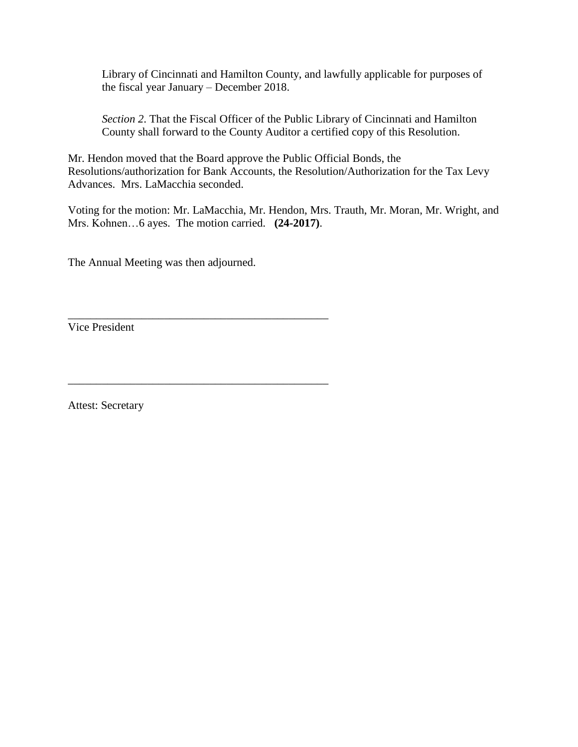Library of Cincinnati and Hamilton County, and lawfully applicable for purposes of the fiscal year January – December 2018.

*Section 2*. That the Fiscal Officer of the Public Library of Cincinnati and Hamilton County shall forward to the County Auditor a certified copy of this Resolution.

Mr. Hendon moved that the Board approve the Public Official Bonds, the Resolutions/authorization for Bank Accounts, the Resolution/Authorization for the Tax Levy Advances. Mrs. LaMacchia seconded.

Voting for the motion: Mr. LaMacchia, Mr. Hendon, Mrs. Trauth, Mr. Moran, Mr. Wright, and Mrs. Kohnen…6 ayes. The motion carried. **(24-2017)**.

The Annual Meeting was then adjourned.

\_\_\_\_\_\_\_\_\_\_\_\_\_\_\_\_\_\_\_\_\_\_\_\_\_\_\_\_\_\_\_\_\_\_\_\_\_\_\_\_\_\_\_\_\_\_

\_\_\_\_\_\_\_\_\_\_\_\_\_\_\_\_\_\_\_\_\_\_\_\_\_\_\_\_\_\_\_\_\_\_\_\_\_\_\_\_\_\_\_\_\_\_

Vice President

Attest: Secretary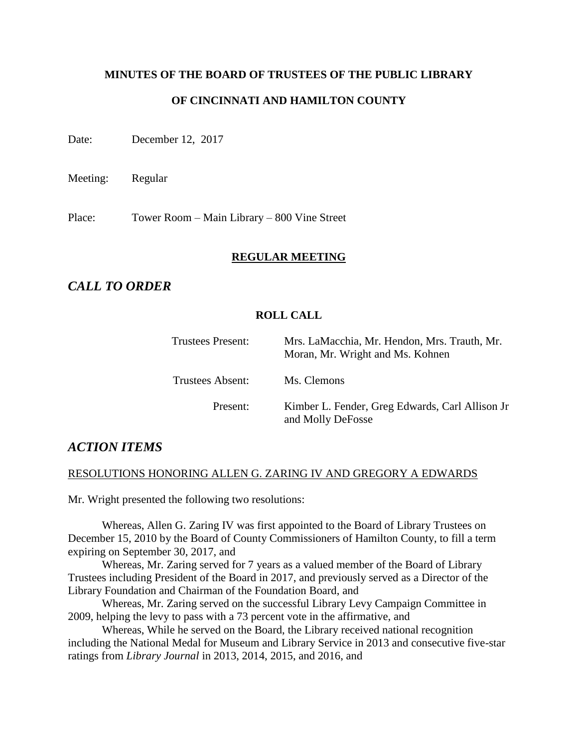# **MINUTES OF THE BOARD OF TRUSTEES OF THE PUBLIC LIBRARY**

### **OF CINCINNATI AND HAMILTON COUNTY**

Date: December 12, 2017

Meeting: Regular

Place: Tower Room – Main Library – 800 Vine Street

#### **REGULAR MEETING**

# *CALL TO ORDER*

#### **ROLL CALL**

| Trustees Present: | Mrs. LaMacchia, Mr. Hendon, Mrs. Trauth, Mr.<br>Moran, Mr. Wright and Ms. Kohnen |
|-------------------|----------------------------------------------------------------------------------|
| Trustees Absent:  | Ms. Clemons                                                                      |
| Present:          | Kimber L. Fender, Greg Edwards, Carl Allison Jr<br>and Molly DeFosse             |

## *ACTION ITEMS*

#### RESOLUTIONS HONORING ALLEN G. ZARING IV AND GREGORY A EDWARDS

Mr. Wright presented the following two resolutions:

Whereas, Allen G. Zaring IV was first appointed to the Board of Library Trustees on December 15, 2010 by the Board of County Commissioners of Hamilton County, to fill a term expiring on September 30, 2017, and

Whereas, Mr. Zaring served for 7 years as a valued member of the Board of Library Trustees including President of the Board in 2017, and previously served as a Director of the Library Foundation and Chairman of the Foundation Board, and

Whereas, Mr. Zaring served on the successful Library Levy Campaign Committee in 2009, helping the levy to pass with a 73 percent vote in the affirmative, and

Whereas, While he served on the Board, the Library received national recognition including the National Medal for Museum and Library Service in 2013 and consecutive five-star ratings from *Library Journal* in 2013, 2014, 2015, and 2016, and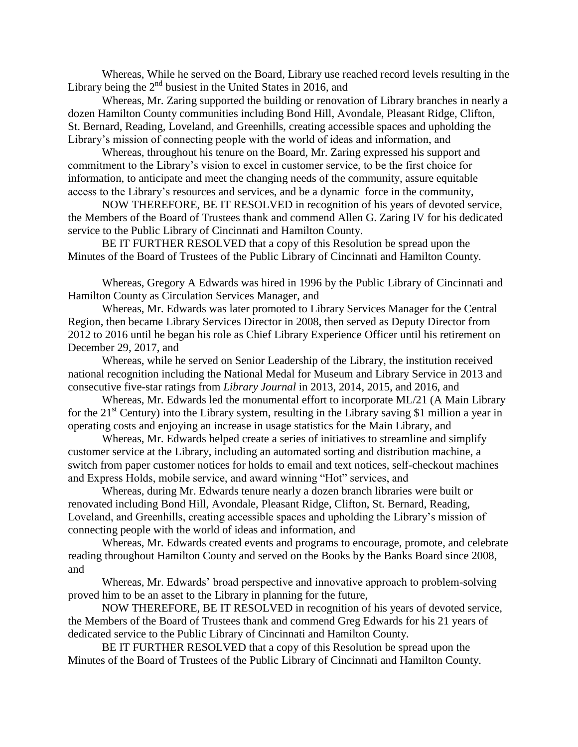Whereas, While he served on the Board, Library use reached record levels resulting in the Library being the  $2<sup>nd</sup>$  busiest in the United States in 2016, and

Whereas, Mr. Zaring supported the building or renovation of Library branches in nearly a dozen Hamilton County communities including Bond Hill, Avondale, Pleasant Ridge, Clifton, St. Bernard, Reading, Loveland, and Greenhills, creating accessible spaces and upholding the Library's mission of connecting people with the world of ideas and information, and

Whereas, throughout his tenure on the Board, Mr. Zaring expressed his support and commitment to the Library's vision to excel in customer service, to be the first choice for information, to anticipate and meet the changing needs of the community, assure equitable access to the Library's resources and services, and be a dynamic force in the community,

NOW THEREFORE, BE IT RESOLVED in recognition of his years of devoted service, the Members of the Board of Trustees thank and commend Allen G. Zaring IV for his dedicated service to the Public Library of Cincinnati and Hamilton County.

BE IT FURTHER RESOLVED that a copy of this Resolution be spread upon the Minutes of the Board of Trustees of the Public Library of Cincinnati and Hamilton County.

Whereas, Gregory A Edwards was hired in 1996 by the Public Library of Cincinnati and Hamilton County as Circulation Services Manager, and

Whereas, Mr. Edwards was later promoted to Library Services Manager for the Central Region, then became Library Services Director in 2008, then served as Deputy Director from 2012 to 2016 until he began his role as Chief Library Experience Officer until his retirement on December 29, 2017, and

Whereas, while he served on Senior Leadership of the Library, the institution received national recognition including the National Medal for Museum and Library Service in 2013 and consecutive five-star ratings from *Library Journal* in 2013, 2014, 2015, and 2016, and

Whereas, Mr. Edwards led the monumental effort to incorporate ML/21 (A Main Library for the  $21<sup>st</sup>$  Century) into the Library system, resulting in the Library saving \$1 million a year in operating costs and enjoying an increase in usage statistics for the Main Library, and

Whereas, Mr. Edwards helped create a series of initiatives to streamline and simplify customer service at the Library, including an automated sorting and distribution machine, a switch from paper customer notices for holds to email and text notices, self-checkout machines and Express Holds, mobile service, and award winning "Hot" services, and

Whereas, during Mr. Edwards tenure nearly a dozen branch libraries were built or renovated including Bond Hill, Avondale, Pleasant Ridge, Clifton, St. Bernard, Reading, Loveland, and Greenhills, creating accessible spaces and upholding the Library's mission of connecting people with the world of ideas and information, and

Whereas, Mr. Edwards created events and programs to encourage, promote, and celebrate reading throughout Hamilton County and served on the Books by the Banks Board since 2008, and

Whereas, Mr. Edwards' broad perspective and innovative approach to problem-solving proved him to be an asset to the Library in planning for the future,

NOW THEREFORE, BE IT RESOLVED in recognition of his years of devoted service, the Members of the Board of Trustees thank and commend Greg Edwards for his 21 years of dedicated service to the Public Library of Cincinnati and Hamilton County.

BE IT FURTHER RESOLVED that a copy of this Resolution be spread upon the Minutes of the Board of Trustees of the Public Library of Cincinnati and Hamilton County.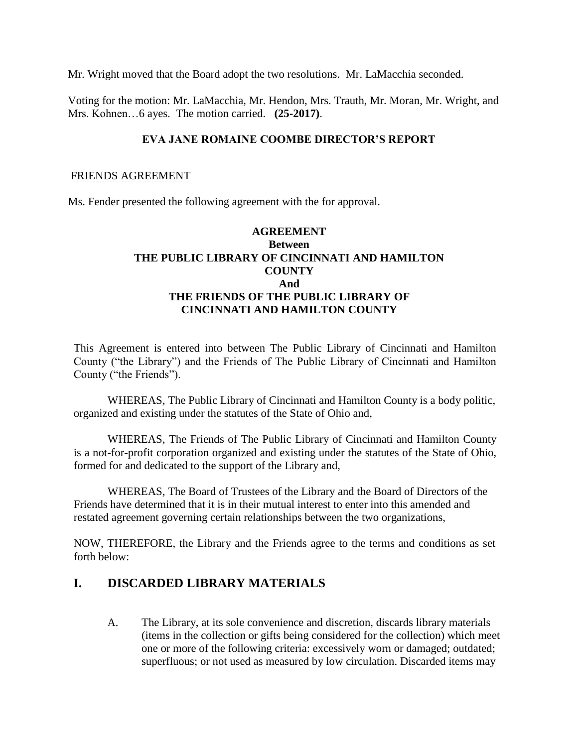Mr. Wright moved that the Board adopt the two resolutions. Mr. LaMacchia seconded.

Voting for the motion: Mr. LaMacchia, Mr. Hendon, Mrs. Trauth, Mr. Moran, Mr. Wright, and Mrs. Kohnen…6 ayes. The motion carried. **(25-2017)**.

### **EVA JANE ROMAINE COOMBE DIRECTOR'S REPORT**

#### FRIENDS AGREEMENT

Ms. Fender presented the following agreement with the for approval.

## **AGREEMENT Between THE PUBLIC LIBRARY OF CINCINNATI AND HAMILTON COUNTY And THE FRIENDS OF THE PUBLIC LIBRARY OF CINCINNATI AND HAMILTON COUNTY**

This Agreement is entered into between The Public Library of Cincinnati and Hamilton County ("the Library") and the Friends of The Public Library of Cincinnati and Hamilton County ("the Friends").

WHEREAS, The Public Library of Cincinnati and Hamilton County is a body politic, organized and existing under the statutes of the State of Ohio and,

WHEREAS, The Friends of The Public Library of Cincinnati and Hamilton County is a not-for-profit corporation organized and existing under the statutes of the State of Ohio, formed for and dedicated to the support of the Library and,

WHEREAS, The Board of Trustees of the Library and the Board of Directors of the Friends have determined that it is in their mutual interest to enter into this amended and restated agreement governing certain relationships between the two organizations,

NOW, THEREFORE, the Library and the Friends agree to the terms and conditions as set forth below:

# **I. DISCARDED LIBRARY MATERIALS**

A. The Library, at its sole convenience and discretion, discards library materials (items in the collection or gifts being considered for the collection) which meet one or more of the following criteria: excessively worn or damaged; outdated; superfluous; or not used as measured by low circulation. Discarded items may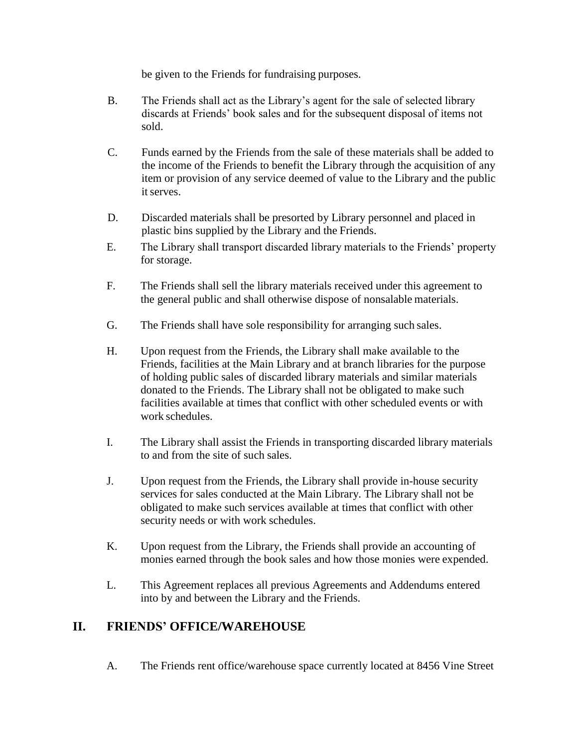be given to the Friends for fundraising purposes.

- B. The Friends shall act as the Library's agent for the sale of selected library discards at Friends' book sales and for the subsequent disposal of items not sold.
- C. Funds earned by the Friends from the sale of these materials shall be added to the income of the Friends to benefit the Library through the acquisition of any item or provision of any service deemed of value to the Library and the public it serves.
- D. Discarded materials shall be presorted by Library personnel and placed in plastic bins supplied by the Library and the Friends.
- E. The Library shall transport discarded library materials to the Friends' property for storage.
- F. The Friends shall sell the library materials received under this agreement to the general public and shall otherwise dispose of nonsalable materials.
- G. The Friends shall have sole responsibility for arranging such sales.
- H. Upon request from the Friends, the Library shall make available to the Friends, facilities at the Main Library and at branch libraries for the purpose of holding public sales of discarded library materials and similar materials donated to the Friends. The Library shall not be obligated to make such facilities available at times that conflict with other scheduled events or with work schedules.
- I. The Library shall assist the Friends in transporting discarded library materials to and from the site of such sales.
- J. Upon request from the Friends, the Library shall provide in-house security services for sales conducted at the Main Library. The Library shall not be obligated to make such services available at times that conflict with other security needs or with work schedules.
- K. Upon request from the Library, the Friends shall provide an accounting of monies earned through the book sales and how those monies were expended.
- L. This Agreement replaces all previous Agreements and Addendums entered into by and between the Library and the Friends.

# **II. FRIENDS' OFFICE/WAREHOUSE**

A. The Friends rent office/warehouse space currently located at 8456 Vine Street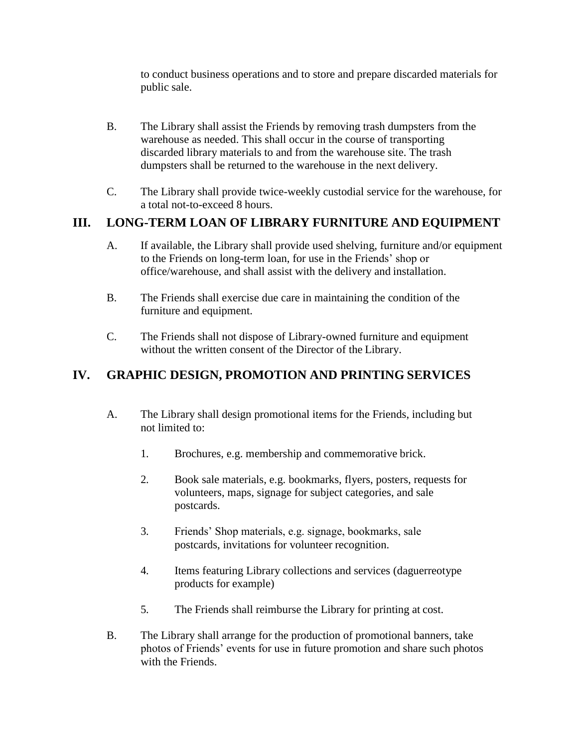to conduct business operations and to store and prepare discarded materials for public sale.

- B. The Library shall assist the Friends by removing trash dumpsters from the warehouse as needed. This shall occur in the course of transporting discarded library materials to and from the warehouse site. The trash dumpsters shall be returned to the warehouse in the next delivery.
- C. The Library shall provide twice-weekly custodial service for the warehouse, for a total not-to-exceed 8 hours.

# **III. LONG-TERM LOAN OF LIBRARY FURNITURE AND EQUIPMENT**

- A. If available, the Library shall provide used shelving, furniture and/or equipment to the Friends on long-term loan, for use in the Friends' shop or office/warehouse, and shall assist with the delivery and installation.
- B. The Friends shall exercise due care in maintaining the condition of the furniture and equipment.
- C. The Friends shall not dispose of Library-owned furniture and equipment without the written consent of the Director of the Library.

# **IV. GRAPHIC DESIGN, PROMOTION AND PRINTING SERVICES**

- A. The Library shall design promotional items for the Friends, including but not limited to:
	- 1. Brochures, e.g. membership and commemorative brick.
	- 2. Book sale materials, e.g. bookmarks, flyers, posters, requests for volunteers, maps, signage for subject categories, and sale postcards.
	- 3. Friends' Shop materials, e.g. signage, bookmarks, sale postcards, invitations for volunteer recognition.
	- 4. Items featuring Library collections and services (daguerreotype products for example)
	- 5. The Friends shall reimburse the Library for printing at cost.
- B. The Library shall arrange for the production of promotional banners, take photos of Friends' events for use in future promotion and share such photos with the Friends.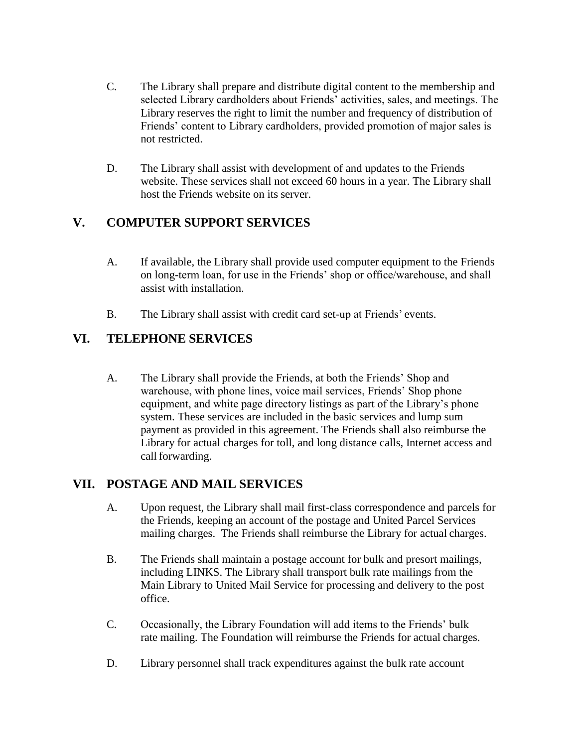- C. The Library shall prepare and distribute digital content to the membership and selected Library cardholders about Friends' activities, sales, and meetings. The Library reserves the right to limit the number and frequency of distribution of Friends' content to Library cardholders, provided promotion of major sales is not restricted.
- D. The Library shall assist with development of and updates to the Friends website. These services shall not exceed 60 hours in a year. The Library shall host the Friends website on its server.

# **V. COMPUTER SUPPORT SERVICES**

- A. If available, the Library shall provide used computer equipment to the Friends on long-term loan, for use in the Friends' shop or office/warehouse, and shall assist with installation.
- B. The Library shall assist with credit card set-up at Friends' events.

# **VI. TELEPHONE SERVICES**

A. The Library shall provide the Friends, at both the Friends' Shop and warehouse, with phone lines, voice mail services, Friends' Shop phone equipment, and white page directory listings as part of the Library's phone system. These services are included in the basic services and lump sum payment as provided in this agreement. The Friends shall also reimburse the Library for actual charges for toll, and long distance calls, Internet access and call forwarding.

# **VII. POSTAGE AND MAIL SERVICES**

- A. Upon request, the Library shall mail first-class correspondence and parcels for the Friends, keeping an account of the postage and United Parcel Services mailing charges. The Friends shall reimburse the Library for actual charges.
- B. The Friends shall maintain a postage account for bulk and presort mailings, including LINKS. The Library shall transport bulk rate mailings from the Main Library to United Mail Service for processing and delivery to the post office.
- C. Occasionally, the Library Foundation will add items to the Friends' bulk rate mailing. The Foundation will reimburse the Friends for actual charges.
- D. Library personnel shall track expenditures against the bulk rate account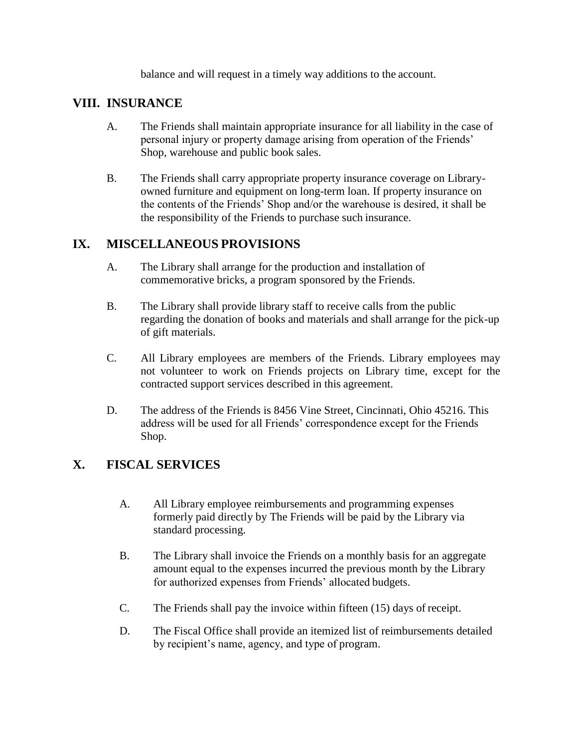balance and will request in a timely way additions to the account.

# **VIII. INSURANCE**

- A. The Friends shall maintain appropriate insurance for all liability in the case of personal injury or property damage arising from operation of the Friends' Shop, warehouse and public book sales.
- B. The Friends shall carry appropriate property insurance coverage on Libraryowned furniture and equipment on long-term loan. If property insurance on the contents of the Friends' Shop and/or the warehouse is desired, it shall be the responsibility of the Friends to purchase such insurance.

# **IX. MISCELLANEOUS PROVISIONS**

- A. The Library shall arrange for the production and installation of commemorative bricks, a program sponsored by the Friends.
- B. The Library shall provide library staff to receive calls from the public regarding the donation of books and materials and shall arrange for the pick-up of gift materials.
- C. All Library employees are members of the Friends. Library employees may not volunteer to work on Friends projects on Library time, except for the contracted support services described in this agreement.
- D. The address of the Friends is 8456 Vine Street, Cincinnati, Ohio 45216. This address will be used for all Friends' correspondence except for the Friends Shop.

# **X. FISCAL SERVICES**

- A. All Library employee reimbursements and programming expenses formerly paid directly by The Friends will be paid by the Library via standard processing.
- B. The Library shall invoice the Friends on a monthly basis for an aggregate amount equal to the expenses incurred the previous month by the Library for authorized expenses from Friends' allocated budgets.
- C. The Friends shall pay the invoice within fifteen (15) days of receipt.
- D. The Fiscal Office shall provide an itemized list of reimbursements detailed by recipient's name, agency, and type of program.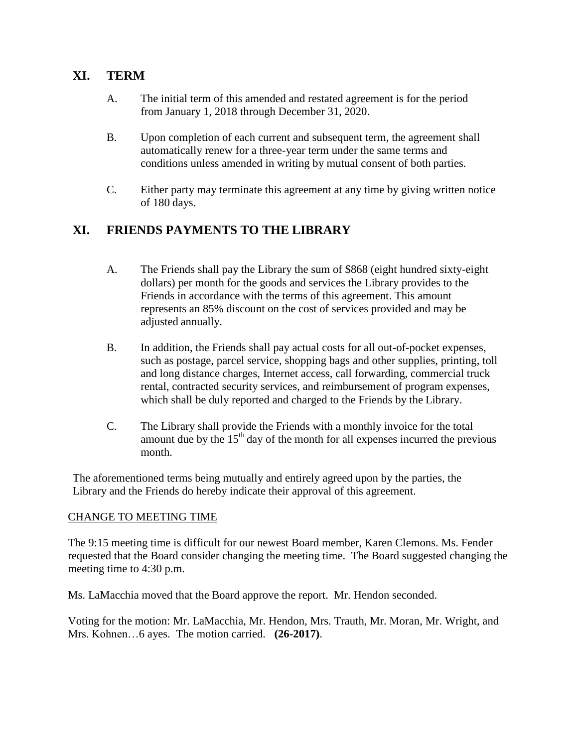# **XI. TERM**

- A. The initial term of this amended and restated agreement is for the period from January 1, 2018 through December 31, 2020.
- B. Upon completion of each current and subsequent term, the agreement shall automatically renew for a three-year term under the same terms and conditions unless amended in writing by mutual consent of both parties.
- C. Either party may terminate this agreement at any time by giving written notice of 180 days.

# **XI. FRIENDS PAYMENTS TO THE LIBRARY**

- A. The Friends shall pay the Library the sum of \$868 (eight hundred sixty-eight dollars) per month for the goods and services the Library provides to the Friends in accordance with the terms of this agreement. This amount represents an 85% discount on the cost of services provided and may be adjusted annually.
- B. In addition, the Friends shall pay actual costs for all out-of-pocket expenses, such as postage, parcel service, shopping bags and other supplies, printing, toll and long distance charges, Internet access, call forwarding, commercial truck rental, contracted security services, and reimbursement of program expenses, which shall be duly reported and charged to the Friends by the Library.
- C. The Library shall provide the Friends with a monthly invoice for the total amount due by the  $15<sup>th</sup>$  day of the month for all expenses incurred the previous month.

The aforementioned terms being mutually and entirely agreed upon by the parties, the Library and the Friends do hereby indicate their approval of this agreement.

### CHANGE TO MEETING TIME

The 9:15 meeting time is difficult for our newest Board member, Karen Clemons. Ms. Fender requested that the Board consider changing the meeting time. The Board suggested changing the meeting time to 4:30 p.m.

Ms. LaMacchia moved that the Board approve the report. Mr. Hendon seconded.

Voting for the motion: Mr. LaMacchia, Mr. Hendon, Mrs. Trauth, Mr. Moran, Mr. Wright, and Mrs. Kohnen…6 ayes. The motion carried. **(26-2017)**.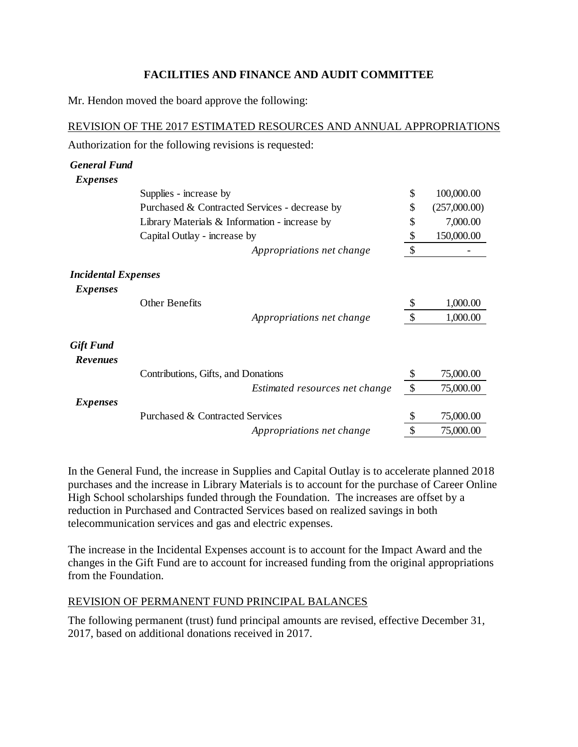## **FACILITIES AND FINANCE AND AUDIT COMMITTEE**

Mr. Hendon moved the board approve the following:

REVISION OF THE 2017 ESTIMATED RESOURCES AND ANNUAL APPROPRIATIONS Authorization for the following revisions is requested:

| <b>General Fund</b>                 |                                               |                                |    |              |
|-------------------------------------|-----------------------------------------------|--------------------------------|----|--------------|
| <i>Expenses</i>                     |                                               |                                |    |              |
|                                     | Supplies - increase by                        |                                | \$ | 100,000.00   |
|                                     | Purchased & Contracted Services - decrease by |                                | \$ | (257,000.00) |
|                                     | Library Materials & Information - increase by |                                | \$ | 7,000.00     |
|                                     | Capital Outlay - increase by                  |                                | \$ | 150,000.00   |
|                                     |                                               | Appropriations net change      | \$ |              |
| <b>Incidental Expenses</b>          |                                               |                                |    |              |
| <i>Expenses</i>                     |                                               |                                |    |              |
|                                     | <b>Other Benefits</b>                         |                                | \$ | 1,000.00     |
|                                     |                                               | Appropriations net change      | \$ | 1,000.00     |
| <b>Gift Fund</b><br><b>Revenues</b> |                                               |                                |    |              |
|                                     | Contributions, Gifts, and Donations           |                                | \$ | 75,000.00    |
|                                     |                                               | Estimated resources net change | \$ | 75,000.00    |
| <i>Expenses</i>                     |                                               |                                |    |              |
|                                     | Purchased & Contracted Services               |                                | S  | 75,000.00    |
|                                     |                                               | Appropriations net change      | \$ | 75,000.00    |

In the General Fund, the increase in Supplies and Capital Outlay is to accelerate planned 2018 purchases and the increase in Library Materials is to account for the purchase of Career Online High School scholarships funded through the Foundation. The increases are offset by a reduction in Purchased and Contracted Services based on realized savings in both telecommunication services and gas and electric expenses.

The increase in the Incidental Expenses account is to account for the Impact Award and the changes in the Gift Fund are to account for increased funding from the original appropriations from the Foundation.

## REVISION OF PERMANENT FUND PRINCIPAL BALANCES

The following permanent (trust) fund principal amounts are revised, effective December 31, 2017, based on additional donations received in 2017.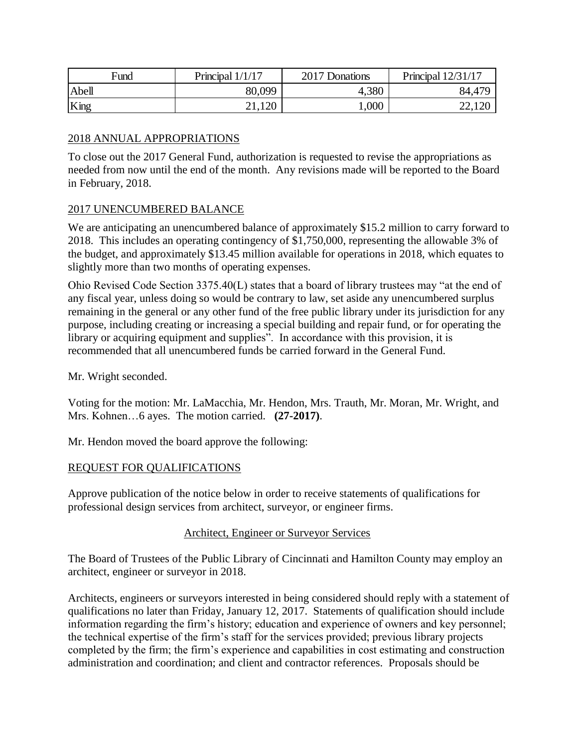| Fund  | Principal $1/1/17$             | 2017 Donations | Principal $12/31/17$ |
|-------|--------------------------------|----------------|----------------------|
| Abell | 80,099                         | 4,380          | 84,47 <sup>c</sup>   |
| King  | 21,120<br>$\angle 1.1\angle 0$ | 000,           | 22,120               |

### 2018 ANNUAL APPROPRIATIONS

To close out the 2017 General Fund, authorization is requested to revise the appropriations as needed from now until the end of the month. Any revisions made will be reported to the Board in February, 2018.

### 2017 UNENCUMBERED BALANCE

We are anticipating an unencumbered balance of approximately \$15.2 million to carry forward to 2018. This includes an operating contingency of \$1,750,000, representing the allowable 3% of the budget, and approximately \$13.45 million available for operations in 2018, which equates to slightly more than two months of operating expenses.

Ohio Revised Code Section 3375.40(L) states that a board of library trustees may "at the end of any fiscal year, unless doing so would be contrary to law, set aside any unencumbered surplus remaining in the general or any other fund of the free public library under its jurisdiction for any purpose, including creating or increasing a special building and repair fund, or for operating the library or acquiring equipment and supplies". In accordance with this provision, it is recommended that all unencumbered funds be carried forward in the General Fund.

Mr. Wright seconded.

Voting for the motion: Mr. LaMacchia, Mr. Hendon, Mrs. Trauth, Mr. Moran, Mr. Wright, and Mrs. Kohnen…6 ayes. The motion carried. **(27-2017)**.

Mr. Hendon moved the board approve the following:

### REQUEST FOR QUALIFICATIONS

Approve publication of the notice below in order to receive statements of qualifications for professional design services from architect, surveyor, or engineer firms.

### Architect, Engineer or Surveyor Services

The Board of Trustees of the Public Library of Cincinnati and Hamilton County may employ an architect, engineer or surveyor in 2018.

Architects, engineers or surveyors interested in being considered should reply with a statement of qualifications no later than Friday, January 12, 2017. Statements of qualification should include information regarding the firm's history; education and experience of owners and key personnel; the technical expertise of the firm's staff for the services provided; previous library projects completed by the firm; the firm's experience and capabilities in cost estimating and construction administration and coordination; and client and contractor references. Proposals should be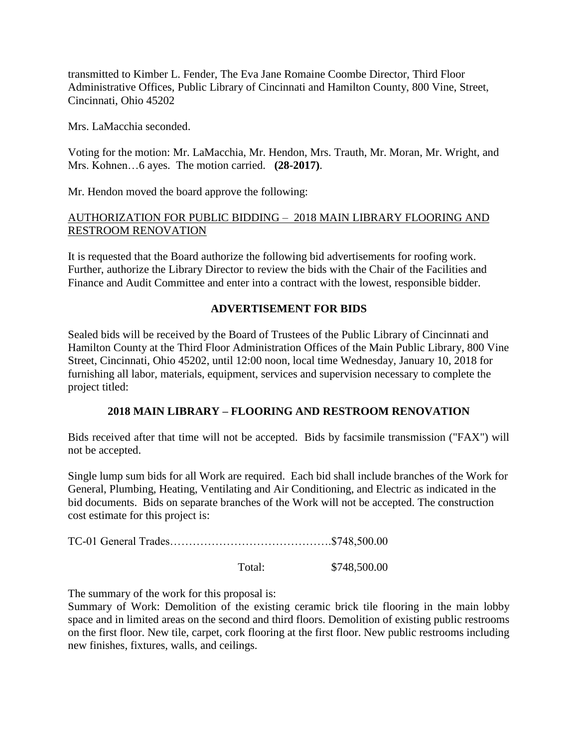transmitted to Kimber L. Fender, The Eva Jane Romaine Coombe Director, Third Floor Administrative Offices, Public Library of Cincinnati and Hamilton County, 800 Vine, Street, Cincinnati, Ohio 45202

Mrs. LaMacchia seconded.

Voting for the motion: Mr. LaMacchia, Mr. Hendon, Mrs. Trauth, Mr. Moran, Mr. Wright, and Mrs. Kohnen…6 ayes. The motion carried. **(28-2017)**.

Mr. Hendon moved the board approve the following:

### AUTHORIZATION FOR PUBLIC BIDDING – 2018 MAIN LIBRARY FLOORING AND RESTROOM RENOVATION

It is requested that the Board authorize the following bid advertisements for roofing work. Further, authorize the Library Director to review the bids with the Chair of the Facilities and Finance and Audit Committee and enter into a contract with the lowest, responsible bidder.

## **ADVERTISEMENT FOR BIDS**

Sealed bids will be received by the Board of Trustees of the Public Library of Cincinnati and Hamilton County at the Third Floor Administration Offices of the Main Public Library, 800 Vine Street, Cincinnati, Ohio 45202, until 12:00 noon, local time Wednesday, January 10, 2018 for furnishing all labor, materials, equipment, services and supervision necessary to complete the project titled:

### **2018 MAIN LIBRARY – FLOORING AND RESTROOM RENOVATION**

Bids received after that time will not be accepted. Bids by facsimile transmission ("FAX") will not be accepted.

Single lump sum bids for all Work are required. Each bid shall include branches of the Work for General, Plumbing, Heating, Ventilating and Air Conditioning, and Electric as indicated in the bid documents. Bids on separate branches of the Work will not be accepted. The construction cost estimate for this project is:

TC-01 General Trades…………………………………….\$748,500.00

Total: \$748,500.00

The summary of the work for this proposal is:

Summary of Work: Demolition of the existing ceramic brick tile flooring in the main lobby space and in limited areas on the second and third floors. Demolition of existing public restrooms on the first floor. New tile, carpet, cork flooring at the first floor. New public restrooms including new finishes, fixtures, walls, and ceilings.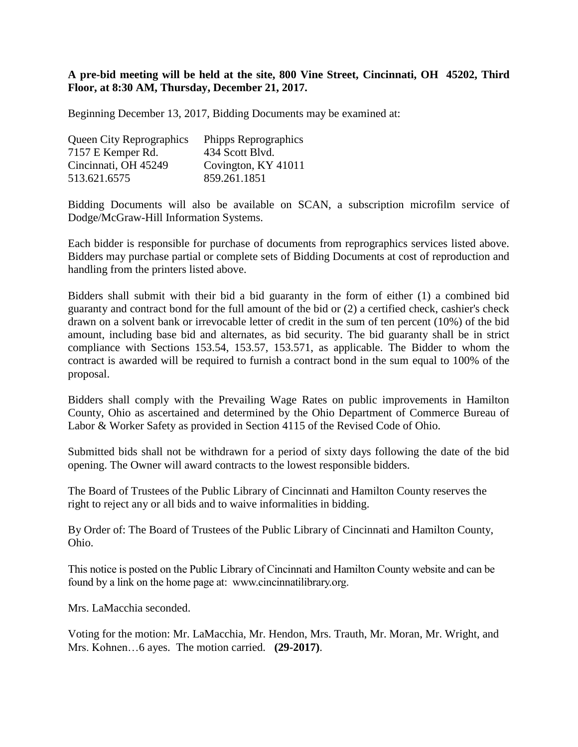### **A pre-bid meeting will be held at the site, 800 Vine Street, Cincinnati, OH 45202, Third Floor, at 8:30 AM, Thursday, December 21, 2017.**

Beginning December 13, 2017, Bidding Documents may be examined at:

| <b>Queen City Reprographics</b> | Phipps Reprographics |
|---------------------------------|----------------------|
| 7157 E Kemper Rd.               | 434 Scott Blvd.      |
| Cincinnati, OH 45249            | Covington, KY 41011  |
| 513.621.6575                    | 859.261.1851         |

Bidding Documents will also be available on SCAN, a subscription microfilm service of Dodge/McGraw-Hill Information Systems.

Each bidder is responsible for purchase of documents from reprographics services listed above. Bidders may purchase partial or complete sets of Bidding Documents at cost of reproduction and handling from the printers listed above.

Bidders shall submit with their bid a bid guaranty in the form of either (1) a combined bid guaranty and contract bond for the full amount of the bid or (2) a certified check, cashier's check drawn on a solvent bank or irrevocable letter of credit in the sum of ten percent (10%) of the bid amount, including base bid and alternates, as bid security. The bid guaranty shall be in strict compliance with Sections 153.54, 153.57, 153.571, as applicable. The Bidder to whom the contract is awarded will be required to furnish a contract bond in the sum equal to 100% of the proposal.

Bidders shall comply with the Prevailing Wage Rates on public improvements in Hamilton County, Ohio as ascertained and determined by the Ohio Department of Commerce Bureau of Labor & Worker Safety as provided in Section 4115 of the Revised Code of Ohio.

Submitted bids shall not be withdrawn for a period of sixty days following the date of the bid opening. The Owner will award contracts to the lowest responsible bidders.

The Board of Trustees of the Public Library of Cincinnati and Hamilton County reserves the right to reject any or all bids and to waive informalities in bidding.

By Order of: The Board of Trustees of the Public Library of Cincinnati and Hamilton County, Ohio.

This notice is posted on the Public Library of Cincinnati and Hamilton County website and can be found by a link on the home page at: www.cincinnatilibrary.org.

Mrs. LaMacchia seconded.

Voting for the motion: Mr. LaMacchia, Mr. Hendon, Mrs. Trauth, Mr. Moran, Mr. Wright, and Mrs. Kohnen…6 ayes. The motion carried. **(29-2017)**.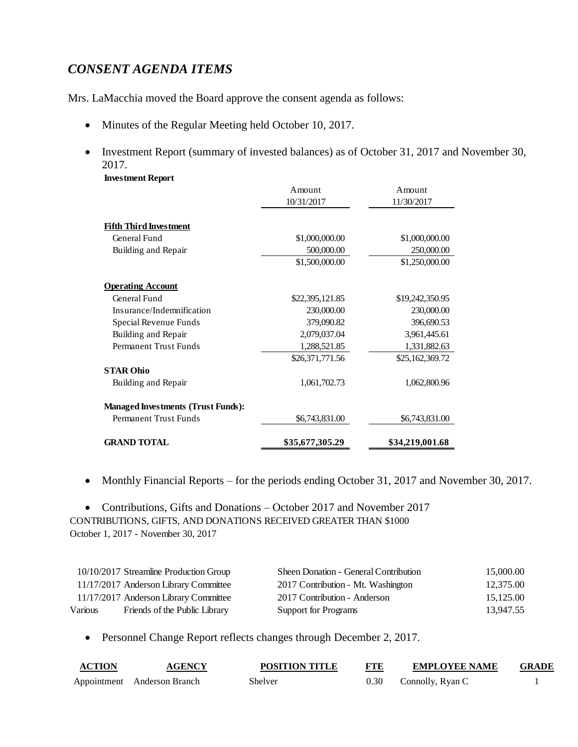# *CONSENT AGENDA ITEMS*

**Investment Report**

Mrs. LaMacchia moved the Board approve the consent agenda as follows:

- Minutes of the Regular Meeting held October 10, 2017.
- Investment Report (summary of invested balances) as of October 31, 2017 and November 30, 2017.

|                                           | Amount          | Amount          |
|-------------------------------------------|-----------------|-----------------|
|                                           | 10/31/2017      | 11/30/2017      |
| <b>Fifth Third Investment</b>             |                 |                 |
| General Fund                              | \$1,000,000.00  | \$1,000,000.00  |
| Building and Repair                       | 500,000.00      | 250,000.00      |
|                                           | \$1,500,000.00  | \$1,250,000.00  |
| <b>Operating Account</b>                  |                 |                 |
| General Fund                              | \$22,395,121.85 | \$19,242,350.95 |
| Insurance/Indemnification                 | 230,000.00      | 230,000.00      |
| Special Revenue Funds                     | 379,090.82      | 396,690.53      |
| Building and Repair                       | 2,079,037.04    | 3,961,445.61    |
| Permanent Trust Funds                     | 1,288,521.85    | 1,331,882.63    |
|                                           | \$26,371,771.56 | \$25,162,369.72 |
| <b>STAR Ohio</b>                          |                 |                 |
| Building and Repair                       | 1,061,702.73    | 1,062,800.96    |
| <b>Managed Investments (Trust Funds):</b> |                 |                 |
| <b>Permanent Trust Funds</b>              | \$6,743,831.00  | \$6,743,831.00  |
| <b>GRAND TOTAL</b>                        | \$35,677,305.29 | \$34,219,001.68 |

• Monthly Financial Reports – for the periods ending October 31, 2017 and November 30, 2017.

• Contributions, Gifts and Donations – October 2017 and November 2017 CONTRIBUTIONS, GIFTS, AND DONATIONS RECEIVED GREATER THAN \$1000 October 1, 2017 - November 30, 2017

|         | 10/10/2017 Streamline Production Group | Sheen Donation - General Contribution | 15,000.00 |
|---------|----------------------------------------|---------------------------------------|-----------|
|         | 11/17/2017 Anderson Library Committee  | 2017 Contribution - Mt. Washington    | 12,375.00 |
|         | 11/17/2017 Anderson Library Committee  | 2017 Contribution - Anderson          | 15,125.00 |
| Various | Friends of the Public Library          | <b>Support for Programs</b>           | 13.947.55 |

Personnel Change Report reflects changes through December 2, 2017.

| <b>ACTION</b> | <b>AGENCY</b>               | <b>POSITION TITLE</b> | <b>FTE</b> | <b>EMPLOYEE NAME</b> | <b>GRADE</b> |
|---------------|-----------------------------|-----------------------|------------|----------------------|--------------|
|               | Appointment Anderson Branch | Shelver               | 0.30       | Connolly, Ryan C     |              |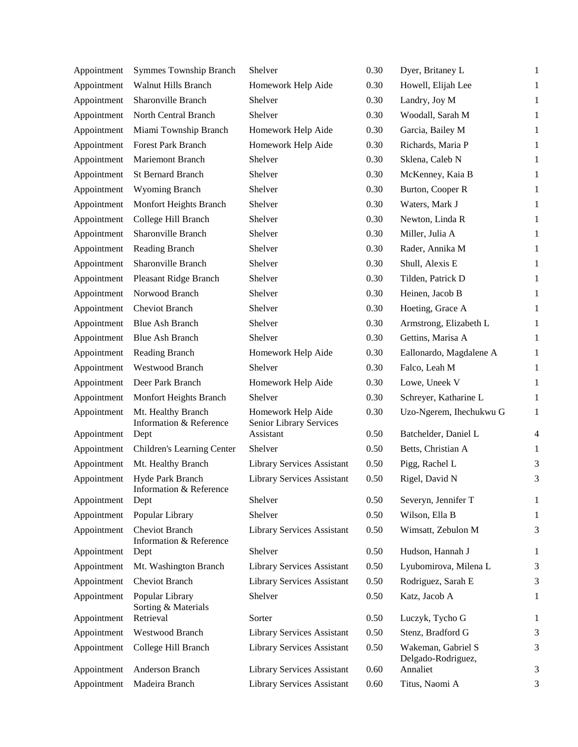| Appointment | <b>Symmes Township Branch</b>                 | Shelver                                       | 0.30 | Dyer, Britaney L                         | $\mathbf{1}$             |
|-------------|-----------------------------------------------|-----------------------------------------------|------|------------------------------------------|--------------------------|
| Appointment | <b>Walnut Hills Branch</b>                    | Homework Help Aide                            | 0.30 | Howell, Elijah Lee                       | $\mathbf{1}$             |
| Appointment | Sharonville Branch                            | Shelver                                       | 0.30 | Landry, Joy M                            | $\mathbf{1}$             |
| Appointment | North Central Branch                          | Shelver                                       | 0.30 | Woodall, Sarah M                         | $\mathbf{1}$             |
| Appointment | Miami Township Branch                         | Homework Help Aide                            | 0.30 | Garcia, Bailey M                         | $\mathbf{1}$             |
| Appointment | <b>Forest Park Branch</b>                     | Homework Help Aide                            | 0.30 | Richards, Maria P                        | $\mathbf{1}$             |
| Appointment | Mariemont Branch                              | Shelver                                       | 0.30 | Sklena, Caleb N                          | $\mathbf{1}$             |
| Appointment | <b>St Bernard Branch</b>                      | Shelver                                       | 0.30 | McKenney, Kaia B                         | $\mathbf{1}$             |
| Appointment | <b>Wyoming Branch</b>                         | Shelver                                       | 0.30 | Burton, Cooper R                         | $\mathbf{1}$             |
| Appointment | Monfort Heights Branch                        | Shelver                                       | 0.30 | Waters, Mark J                           | $\mathbf{1}$             |
| Appointment | College Hill Branch                           | Shelver                                       | 0.30 | Newton, Linda R                          | $\mathbf{1}$             |
| Appointment | Sharonville Branch                            | Shelver                                       | 0.30 | Miller, Julia A                          | $\mathbf{1}$             |
| Appointment | Reading Branch                                | Shelver                                       | 0.30 | Rader, Annika M                          | $\mathbf{1}$             |
| Appointment | Sharonville Branch                            | Shelver                                       | 0.30 | Shull, Alexis E                          | 1                        |
| Appointment | Pleasant Ridge Branch                         | Shelver                                       | 0.30 | Tilden, Patrick D                        | $\mathbf{1}$             |
| Appointment | Norwood Branch                                | Shelver                                       | 0.30 | Heinen, Jacob B                          | 1                        |
| Appointment | Cheviot Branch                                | Shelver                                       | 0.30 | Hoeting, Grace A                         | 1                        |
| Appointment | <b>Blue Ash Branch</b>                        | Shelver                                       | 0.30 | Armstrong, Elizabeth L                   | 1                        |
| Appointment | <b>Blue Ash Branch</b>                        | Shelver                                       | 0.30 | Gettins, Marisa A                        | 1                        |
| Appointment | Reading Branch                                | Homework Help Aide                            | 0.30 | Eallonardo, Magdalene A                  | $\mathbf{1}$             |
| Appointment | Westwood Branch                               | Shelver                                       | 0.30 | Falco, Leah M                            | 1                        |
| Appointment | Deer Park Branch                              | Homework Help Aide                            | 0.30 | Lowe, Uneek V                            | 1                        |
| Appointment | Monfort Heights Branch                        | Shelver                                       | 0.30 | Schreyer, Katharine L                    | $\mathbf{1}$             |
| Appointment | Mt. Healthy Branch<br>Information & Reference | Homework Help Aide<br>Senior Library Services | 0.30 | Uzo-Ngerem, Ihechukwu G                  | $\mathbf{1}$             |
| Appointment | Dept                                          | Assistant                                     | 0.50 | Batchelder, Daniel L                     | $\overline{\mathcal{L}}$ |
| Appointment | Children's Learning Center                    | Shelver                                       | 0.50 | Betts, Christian A                       | $\mathbf{1}$             |
| Appointment | Mt. Healthy Branch                            | <b>Library Services Assistant</b>             | 0.50 | Pigg, Rachel L                           | 3                        |
| Appointment | Hyde Park Branch<br>Information & Reference   | <b>Library Services Assistant</b>             | 0.50 | Rigel, David N                           | 3                        |
| Appointment | Dept                                          | Shelver                                       | 0.50 | Severyn, Jennifer T                      | $\mathbf{1}$             |
| Appointment | Popular Library                               | Shelver                                       | 0.50 | Wilson, Ella B                           | $\mathbf{1}$             |
| Appointment | Cheviot Branch<br>Information & Reference     | <b>Library Services Assistant</b>             | 0.50 | Wimsatt, Zebulon M                       | 3                        |
| Appointment | Dept                                          | Shelver                                       | 0.50 | Hudson, Hannah J                         | 1                        |
| Appointment | Mt. Washington Branch                         | <b>Library Services Assistant</b>             | 0.50 | Lyubomirova, Milena L                    | 3                        |
| Appointment | <b>Cheviot Branch</b>                         | <b>Library Services Assistant</b>             | 0.50 | Rodriguez, Sarah E                       | 3                        |
| Appointment | Popular Library<br>Sorting & Materials        | Shelver                                       | 0.50 | Katz, Jacob A                            | $\mathbf{1}$             |
| Appointment | Retrieval                                     | Sorter                                        | 0.50 | Luczyk, Tycho G                          | $\mathbf{1}$             |
| Appointment | Westwood Branch                               | <b>Library Services Assistant</b>             | 0.50 | Stenz, Bradford G                        | 3                        |
| Appointment | College Hill Branch                           | <b>Library Services Assistant</b>             | 0.50 | Wakeman, Gabriel S<br>Delgado-Rodriguez, | 3                        |
| Appointment | Anderson Branch                               | Library Services Assistant                    | 0.60 | Annaliet                                 | 3                        |
| Appointment | Madeira Branch                                | Library Services Assistant                    | 0.60 | Titus, Naomi A                           | 3                        |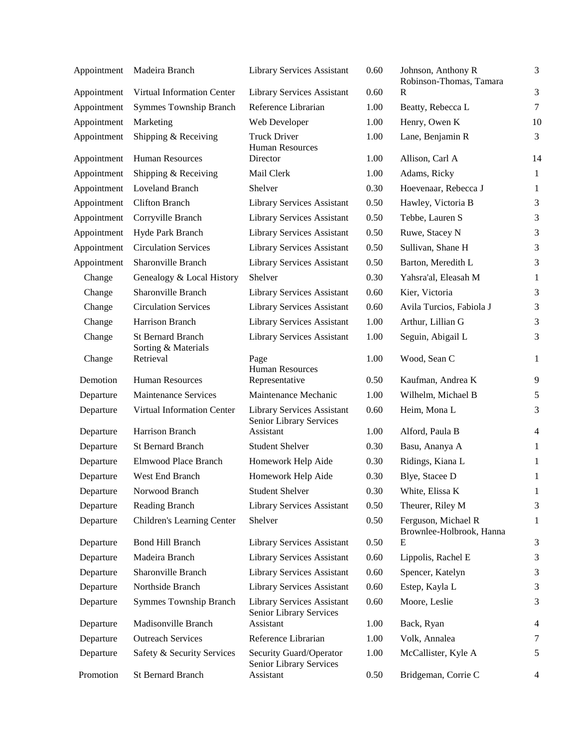| Appointment | Madeira Branch                                  | <b>Library Services Assistant</b>                            | 0.60 | Johnson, Anthony R                              | 3              |
|-------------|-------------------------------------------------|--------------------------------------------------------------|------|-------------------------------------------------|----------------|
| Appointment | Virtual Information Center                      | <b>Library Services Assistant</b>                            | 0.60 | Robinson-Thomas, Tamara<br>$\mathbf R$          | 3              |
| Appointment | <b>Symmes Township Branch</b>                   | Reference Librarian                                          | 1.00 | Beatty, Rebecca L                               | $\overline{7}$ |
| Appointment | Marketing                                       | Web Developer                                                | 1.00 | Henry, Owen K                                   | 10             |
| Appointment | Shipping & Receiving                            | <b>Truck Driver</b><br><b>Human Resources</b>                | 1.00 | Lane, Benjamin R                                | 3              |
| Appointment | <b>Human Resources</b>                          | Director                                                     | 1.00 | Allison, Carl A                                 | 14             |
| Appointment | Shipping & Receiving                            | Mail Clerk                                                   | 1.00 | Adams, Ricky                                    | $\mathbf{1}$   |
| Appointment | Loveland Branch                                 | Shelver                                                      | 0.30 | Hoevenaar, Rebecca J                            | $\mathbf{1}$   |
| Appointment | <b>Clifton Branch</b>                           | <b>Library Services Assistant</b>                            | 0.50 | Hawley, Victoria B                              | 3              |
| Appointment | Corryville Branch                               | Library Services Assistant                                   | 0.50 | Tebbe, Lauren S                                 | 3              |
| Appointment | Hyde Park Branch                                | <b>Library Services Assistant</b>                            | 0.50 | Ruwe, Stacey N                                  | $\mathfrak{Z}$ |
| Appointment | <b>Circulation Services</b>                     | <b>Library Services Assistant</b>                            | 0.50 | Sullivan, Shane H                               | 3              |
| Appointment | Sharonville Branch                              | Library Services Assistant                                   | 0.50 | Barton, Meredith L                              | 3              |
| Change      | Genealogy & Local History                       | Shelver                                                      | 0.30 | Yahsra'al, Eleasah M                            | $\mathbf{1}$   |
| Change      | Sharonville Branch                              | <b>Library Services Assistant</b>                            | 0.60 | Kier, Victoria                                  | 3              |
| Change      | <b>Circulation Services</b>                     | Library Services Assistant                                   | 0.60 | Avila Turcios, Fabiola J                        | 3              |
| Change      | Harrison Branch                                 | <b>Library Services Assistant</b>                            | 1.00 | Arthur, Lillian G                               | 3              |
| Change      | <b>St Bernard Branch</b><br>Sorting & Materials | <b>Library Services Assistant</b>                            | 1.00 | Seguin, Abigail L                               | 3              |
| Change      | Retrieval                                       | Page<br><b>Human Resources</b>                               | 1.00 | Wood, Sean C                                    | $\mathbf{1}$   |
| Demotion    | <b>Human Resources</b>                          | Representative                                               | 0.50 | Kaufman, Andrea K                               | 9              |
| Departure   | <b>Maintenance Services</b>                     | Maintenance Mechanic                                         | 1.00 | Wilhelm, Michael B                              | 5              |
| Departure   | Virtual Information Center                      | <b>Library Services Assistant</b><br>Senior Library Services | 0.60 | Heim, Mona L                                    | 3              |
| Departure   | Harrison Branch                                 | Assistant                                                    | 1.00 | Alford, Paula B                                 | $\overline{4}$ |
| Departure   | <b>St Bernard Branch</b>                        | <b>Student Shelver</b>                                       | 0.30 | Basu, Ananya A                                  | $\mathbf{1}$   |
| Departure   | Elmwood Place Branch                            | Homework Help Aide                                           | 0.30 | Ridings, Kiana L                                | $\mathbf{1}$   |
| Departure   | West End Branch                                 | Homework Help Aide                                           | 0.30 | Blye, Stacee D                                  | 1              |
| Departure   | Norwood Branch                                  | <b>Student Shelver</b>                                       | 0.30 | White, Elissa K                                 | $\mathbf{1}$   |
| Departure   | Reading Branch                                  | <b>Library Services Assistant</b>                            | 0.50 | Theurer, Riley M                                | 3              |
| Departure   | Children's Learning Center                      | Shelver                                                      | 0.50 | Ferguson, Michael R<br>Brownlee-Holbrook, Hanna | 1              |
| Departure   | <b>Bond Hill Branch</b>                         | <b>Library Services Assistant</b>                            | 0.50 | E                                               | $\mathfrak{Z}$ |
| Departure   | Madeira Branch                                  | <b>Library Services Assistant</b>                            | 0.60 | Lippolis, Rachel E                              | $\mathfrak{Z}$ |
| Departure   | Sharonville Branch                              | <b>Library Services Assistant</b>                            | 0.60 | Spencer, Katelyn                                | 3              |
| Departure   | Northside Branch                                | <b>Library Services Assistant</b>                            | 0.60 | Estep, Kayla L                                  | $\mathfrak{Z}$ |
| Departure   | <b>Symmes Township Branch</b>                   | <b>Library Services Assistant</b><br>Senior Library Services | 0.60 | Moore, Leslie                                   | $\mathfrak{Z}$ |
| Departure   | Madisonville Branch                             | Assistant                                                    | 1.00 | Back, Ryan                                      | 4              |
| Departure   | <b>Outreach Services</b>                        | Reference Librarian                                          | 1.00 | Volk, Annalea                                   | 7              |
| Departure   | Safety & Security Services                      | Security Guard/Operator<br>Senior Library Services           | 1.00 | McCallister, Kyle A                             | 5              |
| Promotion   | St Bernard Branch                               | Assistant                                                    | 0.50 | Bridgeman, Corrie C                             | 4              |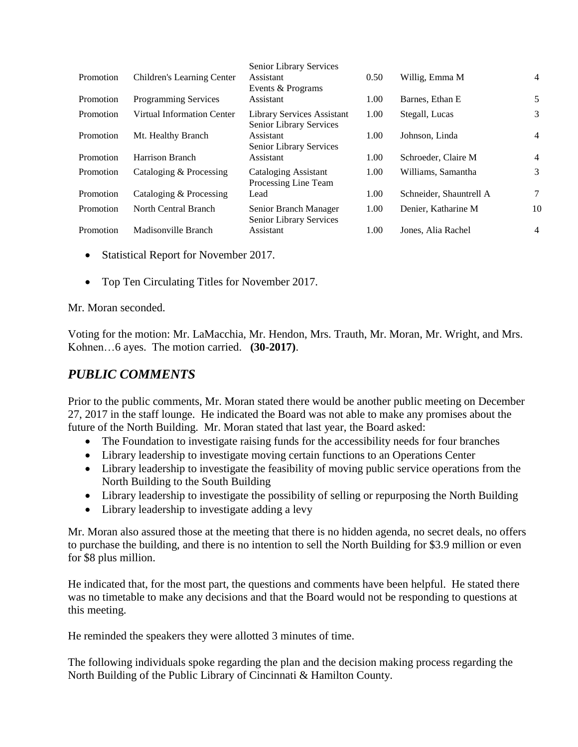| Promotion | Children's Learning Center  | <b>Senior Library Services</b><br>Assistant                         | 0.50 | Willig, Emma M          | $\overline{4}$ |
|-----------|-----------------------------|---------------------------------------------------------------------|------|-------------------------|----------------|
|           |                             | Events & Programs                                                   |      |                         |                |
| Promotion | <b>Programming Services</b> | Assistant                                                           | 1.00 | Barnes, Ethan E         | 5              |
| Promotion | Virtual Information Center  | <b>Library Services Assistant</b><br><b>Senior Library Services</b> | 1.00 | Stegall, Lucas          | 3              |
| Promotion | Mt. Healthy Branch          | Assistant<br>Senior Library Services                                | 1.00 | Johnson, Linda          | $\overline{4}$ |
| Promotion | Harrison Branch             | Assistant                                                           | 1.00 | Schroeder, Claire M     | $\overline{4}$ |
| Promotion | Cataloging & Processing     | Cataloging Assistant<br>Processing Line Team                        | 1.00 | Williams, Samantha      | 3              |
| Promotion | Cataloging & Processing     | Lead                                                                | 1.00 | Schneider, Shauntrell A | 7              |
| Promotion | North Central Branch        | Senior Branch Manager<br>Senior Library Services                    | 1.00 | Denier, Katharine M     | 10             |
| Promotion | Madisonville Branch         | Assistant                                                           | 1.00 | Jones, Alia Rachel      | $\overline{4}$ |

- Statistical Report for November 2017.
- Top Ten Circulating Titles for November 2017.

Mr. Moran seconded.

Voting for the motion: Mr. LaMacchia, Mr. Hendon, Mrs. Trauth, Mr. Moran, Mr. Wright, and Mrs. Kohnen…6 ayes. The motion carried. **(30-2017)**.

# *PUBLIC COMMENTS*

Prior to the public comments, Mr. Moran stated there would be another public meeting on December 27, 2017 in the staff lounge. He indicated the Board was not able to make any promises about the future of the North Building. Mr. Moran stated that last year, the Board asked:

- The Foundation to investigate raising funds for the accessibility needs for four branches
- Library leadership to investigate moving certain functions to an Operations Center
- Library leadership to investigate the feasibility of moving public service operations from the North Building to the South Building
- Library leadership to investigate the possibility of selling or repurposing the North Building
- Library leadership to investigate adding a levy

Mr. Moran also assured those at the meeting that there is no hidden agenda, no secret deals, no offers to purchase the building, and there is no intention to sell the North Building for \$3.9 million or even for \$8 plus million.

He indicated that, for the most part, the questions and comments have been helpful. He stated there was no timetable to make any decisions and that the Board would not be responding to questions at this meeting.

He reminded the speakers they were allotted 3 minutes of time.

The following individuals spoke regarding the plan and the decision making process regarding the North Building of the Public Library of Cincinnati & Hamilton County.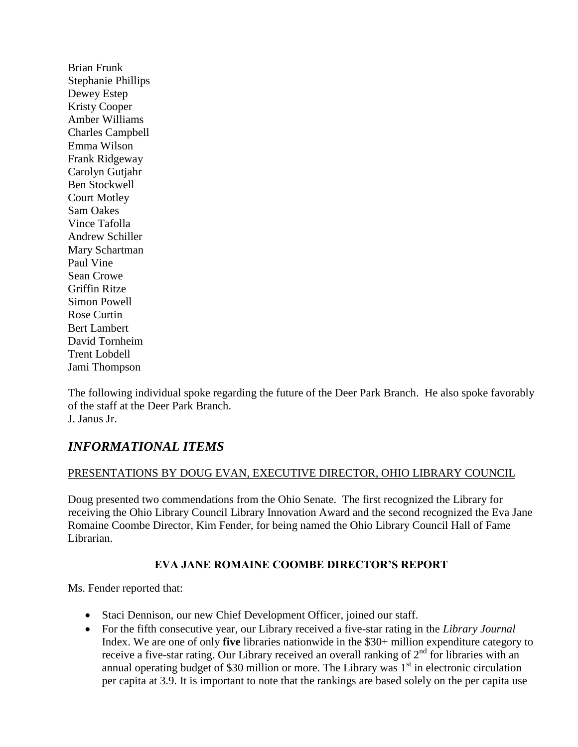Brian Frunk Stephanie Phillips Dewey Estep Kristy Cooper Amber Williams Charles Campbell Emma Wilson Frank Ridgeway Carolyn Gutjahr Ben Stockwell Court Motley Sam Oakes Vince Tafolla Andrew Schiller Mary Schartman Paul Vine Sean Crowe Griffin Ritze Simon Powell Rose Curtin Bert Lambert David Tornheim Trent Lobdell Jami Thompson

The following individual spoke regarding the future of the Deer Park Branch. He also spoke favorably of the staff at the Deer Park Branch. J. Janus Jr.

# *INFORMATIONAL ITEMS*

## PRESENTATIONS BY DOUG EVAN, EXECUTIVE DIRECTOR, OHIO LIBRARY COUNCIL

Doug presented two commendations from the Ohio Senate. The first recognized the Library for receiving the Ohio Library Council Library Innovation Award and the second recognized the Eva Jane Romaine Coombe Director, Kim Fender, for being named the Ohio Library Council Hall of Fame Librarian.

## **EVA JANE ROMAINE COOMBE DIRECTOR'S REPORT**

Ms. Fender reported that:

- Staci Dennison, our new Chief Development Officer, joined our staff.
- For the fifth consecutive year, our Library received a five-star rating in the *Library Journal*  Index. We are one of only **five** libraries nationwide in the \$30+ million expenditure category to receive a five-star rating. Our Library received an overall ranking of  $2<sup>nd</sup>$  for libraries with an annual operating budget of \$30 million or more. The Library was  $1<sup>st</sup>$  in electronic circulation per capita at 3.9. It is important to note that the rankings are based solely on the per capita use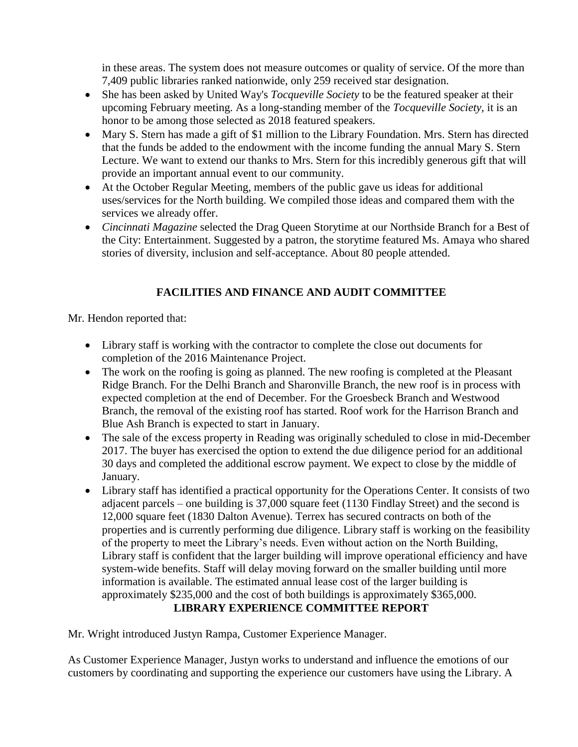in these areas. The system does not measure outcomes or quality of service. Of the more than 7,409 public libraries ranked nationwide, only 259 received star designation.

- She has been asked by United Way's *Tocqueville Society* to be the featured speaker at their upcoming February meeting. As a long-standing member of the *Tocqueville Society,* it is an honor to be among those selected as 2018 featured speakers.
- Mary S. Stern has made a gift of \$1 million to the Library Foundation. Mrs. Stern has directed that the funds be added to the endowment with the income funding the annual Mary S. Stern Lecture. We want to extend our thanks to Mrs. Stern for this incredibly generous gift that will provide an important annual event to our community.
- At the October Regular Meeting, members of the public gave us ideas for additional uses/services for the North building. We compiled those ideas and compared them with the services we already offer.
- *Cincinnati Magazine* selected the Drag Queen Storytime at our Northside Branch for a Best of the City: Entertainment. Suggested by a patron, the storytime featured Ms. Amaya who shared stories of diversity, inclusion and self-acceptance. About 80 people attended.

# **FACILITIES AND FINANCE AND AUDIT COMMITTEE**

Mr. Hendon reported that:

- Library staff is working with the contractor to complete the close out documents for completion of the 2016 Maintenance Project.
- The work on the roofing is going as planned. The new roofing is completed at the Pleasant Ridge Branch. For the Delhi Branch and Sharonville Branch, the new roof is in process with expected completion at the end of December. For the Groesbeck Branch and Westwood Branch, the removal of the existing roof has started. Roof work for the Harrison Branch and Blue Ash Branch is expected to start in January.
- The sale of the excess property in Reading was originally scheduled to close in mid-December 2017. The buyer has exercised the option to extend the due diligence period for an additional 30 days and completed the additional escrow payment. We expect to close by the middle of January.
- Library staff has identified a practical opportunity for the Operations Center. It consists of two adjacent parcels – one building is 37,000 square feet (1130 Findlay Street) and the second is 12,000 square feet (1830 Dalton Avenue). Terrex has secured contracts on both of the properties and is currently performing due diligence. Library staff is working on the feasibility of the property to meet the Library's needs. Even without action on the North Building, Library staff is confident that the larger building will improve operational efficiency and have system-wide benefits. Staff will delay moving forward on the smaller building until more information is available. The estimated annual lease cost of the larger building is approximately \$235,000 and the cost of both buildings is approximately \$365,000. **LIBRARY EXPERIENCE COMMITTEE REPORT**

Mr. Wright introduced Justyn Rampa, Customer Experience Manager.

As Customer Experience Manager, Justyn works to understand and influence the emotions of our customers by coordinating and supporting the experience our customers have using the Library. A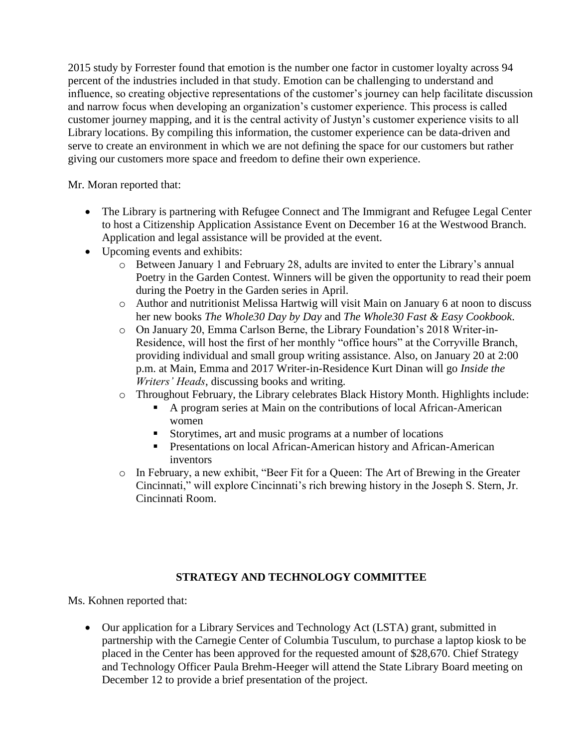2015 study by Forrester found that emotion is the number one factor in customer loyalty across 94 percent of the industries included in that study. Emotion can be challenging to understand and influence, so creating objective representations of the customer's journey can help facilitate discussion and narrow focus when developing an organization's customer experience. This process is called customer journey mapping, and it is the central activity of Justyn's customer experience visits to all Library locations. By compiling this information, the customer experience can be data-driven and serve to create an environment in which we are not defining the space for our customers but rather giving our customers more space and freedom to define their own experience.

Mr. Moran reported that:

- The Library is partnering with Refugee Connect and The Immigrant and Refugee Legal Center to host a Citizenship Application Assistance Event on December 16 at the Westwood Branch. Application and legal assistance will be provided at the event.
- Upcoming events and exhibits:
	- o Between January 1 and February 28, adults are invited to enter the Library's annual Poetry in the Garden Contest. Winners will be given the opportunity to read their poem during the Poetry in the Garden series in April.
	- o Author and nutritionist Melissa Hartwig will visit Main on January 6 at noon to discuss her new books *The Whole30 Day by Day* and *The Whole30 Fast & Easy Cookbook*.
	- o On January 20, Emma Carlson Berne, the Library Foundation's 2018 Writer-in-Residence, will host the first of her monthly "office hours" at the Corryville Branch, providing individual and small group writing assistance. Also, on January 20 at 2:00 p.m. at Main, Emma and 2017 Writer-in-Residence Kurt Dinan will go *Inside the Writers' Heads*, discussing books and writing.
	- o Throughout February, the Library celebrates Black History Month. Highlights include:
		- A program series at Main on the contributions of local African-American women
		- Storytimes, art and music programs at a number of locations
		- **Presentations on local African-American history and African-American** inventors
	- o In February, a new exhibit, "Beer Fit for a Queen: The Art of Brewing in the Greater Cincinnati," will explore Cincinnati's rich brewing history in the Joseph S. Stern, Jr. Cincinnati Room.

## **STRATEGY AND TECHNOLOGY COMMITTEE**

Ms. Kohnen reported that:

 Our application for a Library Services and Technology Act (LSTA) grant, submitted in partnership with the Carnegie Center of Columbia Tusculum, to purchase a laptop kiosk to be placed in the Center has been approved for the requested amount of \$28,670. Chief Strategy and Technology Officer Paula Brehm-Heeger will attend the State Library Board meeting on December 12 to provide a brief presentation of the project.